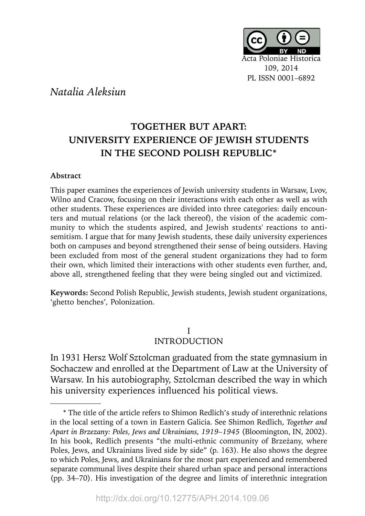

## *Natalia Aleksiun*

# **TOGETHER BUT APART: UNIVERSITY EXPERIENCE OF JEWISH STUDENTS IN THE SECOND POLISH REPUBLIC\***

#### **Abstract**

This paper examines the experiences of Jewish university students in Warsaw, Lvov, Wilno and Cracow, focusing on their interactions with each other as well as with other students. These experiences are divided into three categories: daily encounters and mutual relations (or the lack thereof), the vision of the academic community to which the students aspired, and Jewish students' reactions to antisemitism. I argue that for many Jewish students, these daily university experiences both on campuses and beyond strengthened their sense of being outsiders. Having been excluded from most of the general student organizations they had to form their own, which limited their interactions with other students even further, and, above all, strengthened feeling that they were being singled out and victimized.

**Keywords:** Second Polish Republic, Jewish students, Jewish student organizations, 'ghetto benches', Polonization.

#### I INTRODUCTION

Warsaw. In his autobiography, Sztolcman described the way in which In 1931 Hersz Wolf Sztolcman graduated from the state gymnasium in Sochaczew and enrolled at the Department of Law at the University of his university experiences influenced his political views.

<sup>\*</sup> The title of the article refers to Shimon Redlich's study of interethnic relations in the local setting of a town in Eastern Galicia. See Shimon Redlich, *Together and Apart in Brzezany: Poles, Jews and Ukrainians, 1919–1945* (Bloomington, IN, 2002). In his book, Redlich presents "the multi-ethnic community of Brzeżany, where Poles, Jews, and Ukrainians lived side by side" (p. 163). He also shows the degree to which Poles, Jews, and Ukrainians for the most part experienced and remembered separate communal lives despite their shared urban space and personal interactions (pp. 34–70). His investigation of the degree and limits of interethnic integration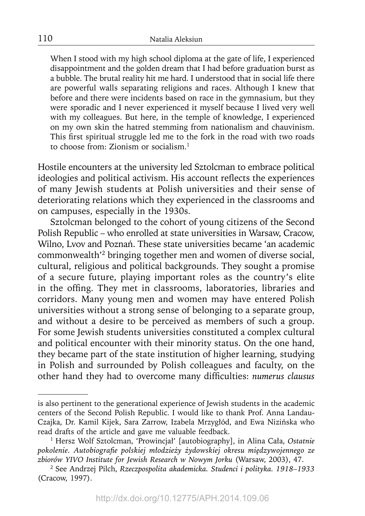When I stood with my high school diploma at the gate of life, I experienced disappointment and the golden dream that I had before graduation burst as a bubble. The brutal reality hit me hard. I understood that in social life there are powerful walls separating religions and races. Although I knew that before and there were incidents based on race in the gymnasium, but they were sporadic and I never experienced it myself because I lived very well with my colleagues. But here, in the temple of knowledge, I experienced on my own skin the hatred stemming from nationalism and chauvinism. This first spiritual struggle led me to the fork in the road with two roads to choose from: Zionism or socialism.<sup>1</sup>

Hostile encounters at the university led Sztolcman to embrace political ideologies and political activism. His account reflects the experiences of many Jewish students at Polish universities and their sense of deteriorating relations which they experienced in the classrooms and on campuses, especially in the 1930s.

Sztolcman belonged to the cohort of young citizens of the Second Polish Republic – who enrolled at state universities in Warsaw, Cracow, Wilno, Lvov and Poznań. These state universities became 'an academic commonwealth'2 bringing together men and women of diverse social, cultural, religious and political backgrounds. They sought a promise of a secure future, playing important roles as the country's elite in the offing. They met in classrooms, laboratories, libraries and corridors. Many young men and women may have entered Polish universities without a strong sense of belonging to a separate group, and without a desire to be perceived as members of such a group. For some Jewish students universities constituted a complex cultural and political encounter with their minority status. On the one hand, they became part of the state institution of higher learning, studying in Polish and surrounded by Polish colleagues and faculty, on the other hand they had to overcome many difficulties: *numerus clausus* 

is also pertinent to the generational experience of Jewish students in the academic centers of the Second Polish Republic. I would like to thank Prof. Anna Landau-Czajka, Dr. Kamil Kijek, Sara Zarrow, Izabela Mrzygłód, and Ewa Nizińska who read drafts of the article and gave me valuable feedback.

<sup>1</sup> Hersz Wolf Sztolcman, 'Prowincjał' [autobiography], in Alina Cała, *Ostatnie pokolenie. Autobiografi e polskiej młodzieży żydowskiej okresu międzywojennego ze zbiorów YIVO Institute for Jewish Research w Nowym Jorku* (Warsaw, 2003), 47.

<sup>2</sup> See Andrzej Pilch, *Rzeczpospolita akademicka. Studenci i polityka. 1918–1933* (Cracow, 1997).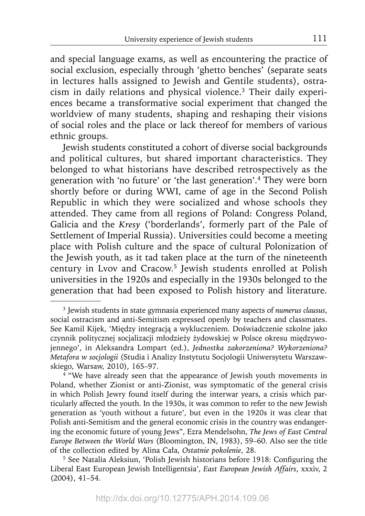and special language exams, as well as encountering the practice of social exclusion, especially through 'ghetto benches' (separate seats in lectures halls assigned to Jewish and Gentile students), ostracism in daily relations and physical violence.3 Their daily experiences became a transformative social experiment that changed the worldview of many students, shaping and reshaping their visions of social roles and the place or lack thereof for members of various ethnic groups.

Jewish students constituted a cohort of diverse social backgrounds and political cultures, but shared important characteristics. They belonged to what historians have described retrospectively as the generation with 'no future' or 'the last generation'.4 They were born shortly before or during WWI, came of age in the Second Polish Republic in which they were socialized and whose schools they attended. They came from all regions of Poland: Congress Poland, Galicia and the *Kresy* ('borderlands', formerly part of the Pale of Settlement of Imperial Russia). Universities could become a meeting place with Polish culture and the space of cultural Polonization of the Jewish youth, as it tad taken place at the turn of the nineteenth century in Lvov and Cracow.5 Jewish students enrolled at Polish universities in the 1920s and especially in the 1930s belonged to the generation that had been exposed to Polish history and literature.

<sup>3</sup> Jewish students in state gymnasia experienced many aspects of *numerus clausus*, social ostracism and anti-Semitism expressed openly by teachers and classmates. See Kamil Kijek, 'Między integracją a wykluczeniem. Doświadczenie szkolne jako czynnik politycznej socjalizacji młodzieży żydowskiej w Polsce okresu międzywojennego', in Aleksandra Lompart (ed.), *Jednostka zakorzeniona? Wykorzeniona? Metafora w socjologii* (Studia i Analizy Instytutu Socjologii Uniwersytetu Warszawskiego, Warsaw, 2010), 165–97.

<sup>&</sup>lt;sup>4</sup> "We have already seen that the appearance of Jewish youth movements in Poland, whether Zionist or anti-Zionist, was symptomatic of the general crisis in which Polish Jewry found itself during the interwar years, a crisis which particularly affected the youth. In the 1930s, it was common to refer to the new Jewish generation as 'youth without a future', but even in the 1920s it was clear that Polish anti-Semitism and the general economic crisis in the country was endangering the economic future of young Jews", Ezra Mendelsohn, *The Jews of East Central Europe Between the World Wars* (Bloomington, IN, 1983), 59–60. Also see the title of the collection edited by Alina Cała, *Ostatnie pokolenie*, 28.

<sup>&</sup>lt;sup>5</sup> See Natalia Aleksiun, 'Polish Jewish historians before 1918: Configuring the Liberal East European Jewish Intelligentsia', *East European Jewish Affairs*, xxxiv, 2 (2004), 41–54.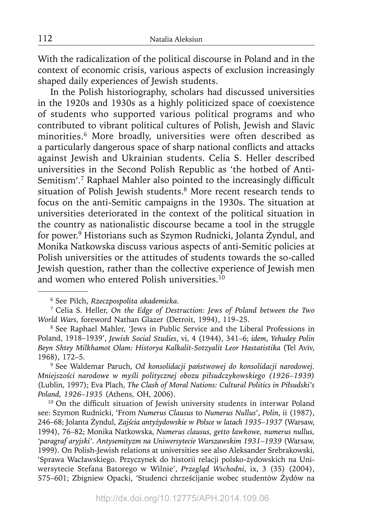With the radicalization of the political discourse in Poland and in the context of economic crisis, various aspects of exclusion increasingly shaped daily experiences of Jewish students.

In the Polish historiography, scholars had discussed universities in the 1920s and 1930s as a highly politicized space of coexistence of students who supported various political programs and who contributed to vibrant political cultures of Polish, Jewish and Slavic minorities.<sup>6</sup> More broadly, universities were often described as a particularly dangerous space of sharp national conflicts and attacks against Jewish and Ukrainian students. Celia S. Heller described universities in the Second Polish Republic as 'the hotbed of Anti-Semitism'.<sup>7</sup> Raphael Mahler also pointed to the increasingly difficult situation of Polish Jewish students.<sup>8</sup> More recent research tends to focus on the anti-Semitic campaigns in the 1930s. The situation at universities deteriorated in the context of the political situation in the country as nationalistic discourse became a tool in the struggle for power.<sup>9</sup> Historians such as Szymon Rudnicki, Jolanta Żyndul, and Monika Natkowska discuss various aspects of anti-Semitic policies at Polish universities or the attitudes of students towards the so-called Jewish question, rather than the collective experience of Jewish men and women who entered Polish universities.<sup>10</sup>

9 See Waldemar Paruch, *Od konsolidacji państwowej do konsolidacji narodowej. Mniejszości narodowe w myśli politycznej obozu piłsudczykowskiego (1926–1939)* (Lublin, 1997); Eva Plach, *The Clash of Moral Nations: Cultural Politics in Piłsudski's Poland, 1926–1935* (Athens, OH, 2006).

<sup>10</sup> On the difficult situation of Jewish university students in interwar Poland see: Szymon Rudnicki, 'From *Numerus Clausus* to *Numerus Nullus*', *Polin*, ii (1987), 246–68; Jolanta Żyndul, *Zajścia antyżydowskie w Polsce w latach 1935–1937* (Warsaw, 1994), 76–82; Monika Natkowska, *Numerus clausus, getto ławkowe, numerus nullus, 'paragraf aryjski'. Antysemityzm na Uniwersytecie Warszawskim 1931–1939* (Warsaw, 1999). On Polish-Jewish relations at universities see also Aleksander Srebrakowski, 'Sprawa Wacławskiego. Przyczynek do historii relacji polsko-żydowskich na Uniwersytecie Stefana Batorego w Wilnie', *Przegląd Wschodni*, ix, 3 (35) (2004), 575–601; Zbigniew Opacki, 'Studenci chrześcijanie wobec studentów Żydów na

<sup>6</sup> See Pilch, *Rzeczpospolita akademicka*.

<sup>7</sup> Celia S. Heller, *On the Edge of Destruction: Jews of Poland between the Two World Wars*, foreword Nathan Glazer (Detroit, 1994), 119–25.

<sup>8</sup> See Raphael Mahler, 'Jews in Public Service and the Liberal Professions in Poland, 1918–1939', *Jewish Social Studies*, vi, 4 (1944), 341–6; *idem*, *Yehudey Polin Beyn Shtey Milkhamot Olam: Historya Kalkalit-Sotzyalit Leor Hastatistika* (Tel Aviv, 1968), 172–5.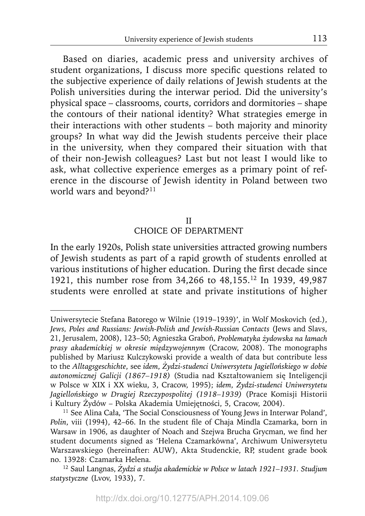Based on diaries, academic press and university archives of student organizations, I discuss more specific questions related to the subjective experience of daily relations of Jewish students at the Polish universities during the interwar period. Did the university's physical space – classrooms, courts, corridors and dormitories – shape the contours of their national identity? What strategies emerge in their interactions with other students – both majority and minority groups? In what way did the Jewish students perceive their place in the university, when they compared their situation with that of their non-Jewish colleagues? Last but not least I would like to ask, what collective experience emerges as a primary point of reference in the discourse of Jewish identity in Poland between two world wars and beyond?<sup>11</sup>

#### II

#### CHOICE OF DEPARTMENT

In the early 1920s, Polish state universities attracted growing numbers of Jewish students as part of a rapid growth of students enrolled at various institutions of higher education. During the first decade since 1921, this number rose from 34,266 to 48,155.12 In 1939, 49,987 students were enrolled at state and private institutions of higher

Uniwersytecie Stefana Batorego w Wilnie (1919–1939)', in Wolf Moskovich (ed.), *Jews, Poles and Russians: Jewish-Polish and Jewish-Russian Contacts* (Jews and Slavs, 21, Jerusalem, 2008), 123–50; Agnieszka Graboń, *Problematyka żydowska na łamach prasy akademickiej w okresie międzywojennym* (Cracow, 2008). The monographs published by Mariusz Kulczykowski provide a wealth of data but contribute less to the *Alltagsgeschichte*, see *idem*, *Żydzi-studenci Uniwersytetu Jagiellońskiego w dobie autonomicznej Galicji (1867–1918)* (Studia nad Kształtowaniem się Inteligencji w Polsce w XIX i XX wieku, 3, Cracow, 1995); *idem*, *Żydzi-studenci Uniwersytetu Jagiellońskiego w Drugiej Rzeczypospolitej (1918–1939)* (Prace Komisji Historii i Kultury Żydów – Polska Akademia Umiejętności, 5, Cracow, 2004).

<sup>&</sup>lt;sup>11</sup> See Alina Cała, 'The Social Consciousness of Young Jews in Interwar Poland', Polin, viii (1994), 42-66. In the student file of Chaja Mindla Czamarka, born in Warsaw in 1906, as daughter of Noach and Szejwa Brucha Grycman, we find her student documents signed as 'Helena Czamarkówna', Archiwum Uniwersytetu Warszawskiego (hereinafter: AUW), Akta Studenckie, RP, student grade book no. 13928: Czamarka Helena.

<sup>12</sup> Saul Langnas, *Żydzi a studja akademickie w Polsce w latach 1921–1931. Studjum statystyczne* (Lvov, 1933), 7.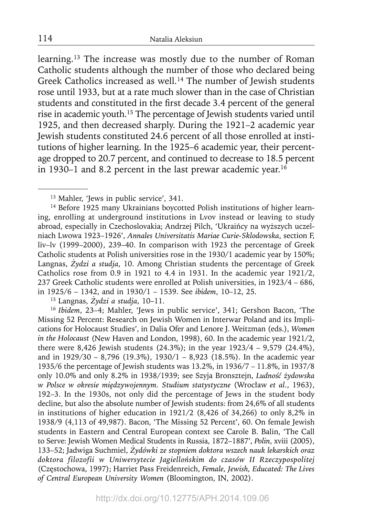learning.13 The increase was mostly due to the number of Roman Catholic students although the number of those who declared being Greek Catholics increased as well.<sup>14</sup> The number of Jewish students rose until 1933, but at a rate much slower than in the case of Christian students and constituted in the first decade 3.4 percent of the general rise in academic youth.15 The percentage of Jewish students varied until 1925, and then decreased sharply. During the 1921–2 academic year Jewish students constituted 24.6 percent of all those enrolled at institutions of higher learning. In the 1925–6 academic year, their percentage dropped to 20.7 percent, and continued to decrease to 18.5 percent in 1930–1 and 8.2 percent in the last prewar academic year.<sup>16</sup>

15 Langnas, *Żydzi a studja*, 10–11.

<sup>16</sup>*Ibidem*, 23–4; Mahler, 'Jews in public service', 341; Gershon Bacon, 'The Missing 52 Percent: Research on Jewish Women in Interwar Poland and its Implications for Holocaust Studies', in Dalia Ofer and Lenore J. Weitzman (eds.), *Women in the Holocaust* (New Haven and London, 1998), 60. In the academic year 1921/2, there were 8,426 Jewish students (24.3%); in the year 1923/4 – 9,579 (24.4%), and in 1929/30 – 8,796 (19.3%), 1930/1 – 8,923 (18.5%). In the academic year 1935/6 the percentage of Jewish students was 13.2%, in 1936/7 – 11.8%, in 1937/8 only 10.0% and only 8.2% in 1938/1939; see Szyja Bronsztejn, *Ludność żydowska w Polsce w okresie międzywojennym. Studium statystyczne* (Wrocław *et al.*, 1963), 192–3. In the 1930s, not only did the percentage of Jews in the student body decline, but also the absolute number of Jewish students: from 24,6% of all students in institutions of higher education in 1921/2 (8,426 of 34,266) to only 8,2% in 1938/9 (4,113 of 49,987). Bacon, 'The Missing 52 Percent', 60. On female Jewish students in Eastern and Central European context see Carole B. Balin, 'The Call to Serve: Jewish Women Medical Students in Russia, 1872–1887', *Polin*, xviii (2005), 133–52; Jadwiga Suchmiel, *Żydówki ze stopniem doktora wszech nauk lekarskich oraz doktora filozofii w Uniwersytecie Jagiellońskim do czasów II Rzeczypospolitej* (Częstochowa, 1997); Harriet Pass Freidenreich, *Female, Jewish, Educated: The Lives of Central European University Women* (Bloomington, IN, 2002).

http://dx.doi.org/10.12775/APH.2014.109.06

<sup>&</sup>lt;sup>13</sup> Mahler, 'Jews in public service', 341.

<sup>&</sup>lt;sup>14</sup> Before 1925 many Ukrainians boycotted Polish institutions of higher learning, enrolling at underground institutions in Lvov instead or leaving to study abroad, especially in Czechoslovakia; Andrzej Pilch, 'Ukraińcy na wyższych uczelniach Lwowa 1923–1926', *Annales Universitatis Mariae Curie-Sklodowska*, section F, liv–lv (1999–2000), 239–40. In comparison with 1923 the percentage of Greek Catholic students at Polish universities rose in the 1930/1 academic year by 150%; Langnas, *Żydzi a studja*, 10. Among Christian students the percentage of Greek Catholics rose from 0.9 in 1921 to 4.4 in 1931. In the academic year 1921/2, 237 Greek Catholic students were enrolled at Polish universities, in 1923/4 – 686, in 1925/6 – 1342, and in 1930/1 – 1539. See *ibidem*, 10–12, 25.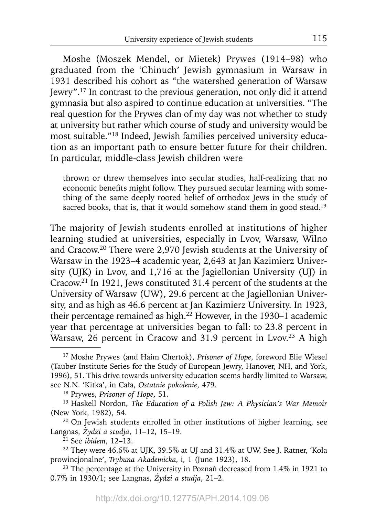Moshe (Moszek Mendel, or Mietek) Prywes (1914–98) who graduated from the 'Chinuch' Jewish gymnasium in Warsaw in 1931 described his cohort as "the watershed generation of Warsaw Jewry".17 In contrast to the previous generation, not only did it attend gymnasia but also aspired to continue education at universities. "The real question for the Prywes clan of my day was not whether to study at university but rather which course of study and university would be most suitable."18 Indeed, Jewish families perceived university education as an important path to ensure better future for their children. In particular, middle-class Jewish children were

thrown or threw themselves into secular studies, half-realizing that no economic benefits might follow. They pursued secular learning with something of the same deeply rooted belief of orthodox Jews in the study of sacred books, that is, that it would somehow stand them in good stead.<sup>19</sup>

The majority of Jewish students enrolled at institutions of higher learning studied at universities, especially in Lvov, Warsaw, Wilno and Cracow.20 There were 2,970 Jewish students at the University of Warsaw in the 1923–4 academic year, 2,643 at Jan Kazimierz University (UJK) in Lvov, and 1,716 at the Jagiellonian University (UJ) in Cracow.21 In 1921, Jews constituted 31.4 percent of the students at the University of Warsaw (UW), 29.6 percent at the Jagiellonian University, and as high as 46.6 percent at Jan Kazimierz University. In 1923, their percentage remained as high.<sup>22</sup> However, in the 1930–1 academic year that percentage at universities began to fall: to 23.8 percent in Warsaw,  $26$  percent in Cracow and 31.9 percent in Lvov.<sup>23</sup> A high

<sup>17</sup> Moshe Prywes (and Haim Chertok), *Prisoner of Hope*, foreword Elie Wiesel (Tauber Institute Series for the Study of European Jewry, Hanover, NH, and York, 1996), 51. This drive towards university education seems hardly limited to Warsaw, see N.N. 'Kitka', in Cała, *Ostatnie pokolenie*, 479.

<sup>18</sup> Prywes, *Prisoner of Hope*, 51.

<sup>19</sup> Haskell Nordon, *The Education of a Polish Jew: A Physician's War Memoir* (New York, 1982), 54.

<sup>&</sup>lt;sup>20</sup> On Jewish students enrolled in other institutions of higher learning, see Langnas, *Żydzi a studja*, 11–12, 15–19.

<sup>21</sup> See *ibidem*, 12–13.

<sup>22</sup> They were 46.6% at UJK, 39.5% at UJ and 31.4% at UW. See J. Ratner, 'Koła prowincjonalne', *Trybuna Akademicka*, i, 1 (June 1923), 18.

<sup>&</sup>lt;sup>23</sup> The percentage at the University in Poznań decreased from 1.4% in 1921 to 0.7% in 1930/1; see Langnas, *Żydzi a studja*, 21–2.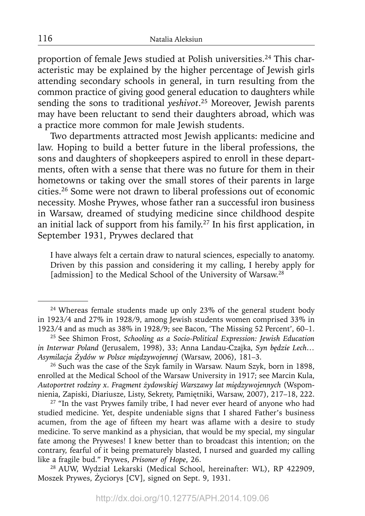proportion of female Jews studied at Polish universities.<sup>24</sup> This characteristic may be explained by the higher percentage of Jewish girls attending secondary schools in general, in turn resulting from the common practice of giving good general education to daughters while sending the sons to traditional *yeshivot*. 25 Moreover, Jewish parents may have been reluctant to send their daughters abroad, which was a practice more common for male Jewish students.

Two departments attracted most Jewish applicants: medicine and law. Hoping to build a better future in the liberal professions, the sons and daughters of shopkeepers aspired to enroll in these departments, often with a sense that there was no future for them in their hometowns or taking over the small stores of their parents in large cities.26 Some were not drawn to liberal professions out of economic necessity. Moshe Prywes, whose father ran a successful iron business in Warsaw, dreamed of studying medicine since childhood despite an initial lack of support from his family.<sup>27</sup> In his first application, in September 1931, Prywes declared that

I have always felt a certain draw to natural sciences, especially to anatomy. Driven by this passion and considering it my calling, I hereby apply for [admission] to the Medical School of the University of Warsaw.<sup>28</sup>

<sup>&</sup>lt;sup>24</sup> Whereas female students made up only 23% of the general student body in 1923/4 and 27% in 1928/9, among Jewish students women comprised 33% in 1923/4 and as much as 38% in 1928/9; see Bacon, 'The Missing 52 Percent', 60–1.

<sup>25</sup> See Shimon Frost, *Schooling as a Socio-Political Expression: Jewish Education in Interwar Poland* (Jerusalem, 1998), 33; Anna Landau-Czajka, *Syn będzie Lech… Asymilacja Żydów w Polsce międzywojennej* (Warsaw, 2006), 181–3.

<sup>&</sup>lt;sup>26</sup> Such was the case of the Szyk family in Warsaw. Naum Szyk, born in 1898, enrolled at the Medical School of the Warsaw University in 1917; see Marcin Kula, *Autoportret rodziny x. Fragment żydowskiej Warszawy lat międzywojennych* (Wspomnienia, Zapiski, Diariusze, Listy, Sekrety, Pamiętniki, Warsaw, 2007), 217–18, 222.

<sup>&</sup>lt;sup>27</sup> "In the vast Prywes family tribe, I had never ever heard of anyone who had studied medicine. Yet, despite undeniable signs that I shared Father's business acumen, from the age of fifteen my heart was aflame with a desire to study medicine. To serve mankind as a physician, that would be my special, my singular fate among the Pryweses! I knew better than to broadcast this intention; on the contrary, fearful of it being prematurely blasted, I nursed and guarded my calling like a fragile bud." Prywes, *Prisoner of Hope*, 26.

<sup>28</sup> AUW, Wydział Lekarski (Medical School, hereinafter: WL), RP 422909, Moszek Prywes, Życiorys [CV], signed on Sept. 9, 1931.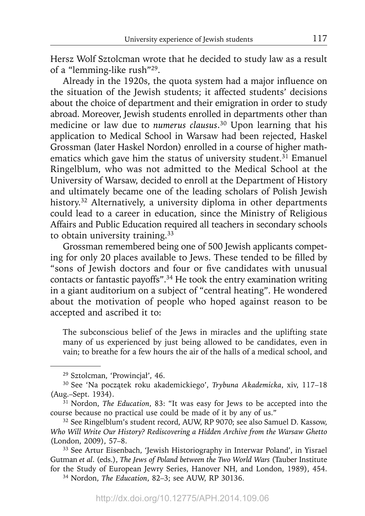Hersz Wolf Sztolcman wrote that he decided to study law as a result of a "lemming-like rush"29.

Already in the 1920s, the quota system had a major influence on the situation of the Jewish students; it affected students' decisions about the choice of department and their emigration in order to study abroad. Moreover, Jewish students enrolled in departments other than medicine or law due to *numerus clausus*. 30 Upon learning that his application to Medical School in Warsaw had been rejected, Haskel Grossman (later Haskel Nordon) enrolled in a course of higher mathematics which gave him the status of university student.<sup>31</sup> Emanuel Ringelblum, who was not admitted to the Medical School at the University of Warsaw, decided to enroll at the Department of History and ultimately became one of the leading scholars of Polish Jewish history.<sup>32</sup> Alternatively, a university diploma in other departments could lead to a career in education, since the Ministry of Religious Affairs and Public Education required all teachers in secondary schools to obtain university training.<sup>33</sup>

Grossman remembered being one of 500 Jewish applicants competing for only 20 places available to Jews. These tended to be filled by "sons of Jewish doctors and four or five candidates with unusual contacts or fantastic payoffs".34 He took the entry examination writing in a giant auditorium on a subject of "central heating". He wondered about the motivation of people who hoped against reason to be accepted and ascribed it to:

The subconscious belief of the Jews in miracles and the uplifting state many of us experienced by just being allowed to be candidates, even in vain; to breathe for a few hours the air of the halls of a medical school, and

<sup>29</sup> Sztolcman, 'Prowincjał', 46.

<sup>30</sup> See 'Na początek roku akademickiego', *Trybuna Akademicka*, xiv, 117–18 (Aug.–Sept. 1934).

<sup>&</sup>lt;sup>31</sup> Nordon, *The Education*, 83: "It was easy for Jews to be accepted into the course because no practical use could be made of it by any of us." 32 See Ringelblum's student record, AUW, RP 9070; see also Samuel D. Kassow,

*Who Will Write Our History? Rediscovering a Hidden Archive from the Warsaw Ghetto* (London, 2009), 57–8.

<sup>33</sup> See Artur Eisenbach, 'Jewish Historiography in Interwar Poland', in Yisrael Gutman *et al*. (eds.), *The Jews of Poland between the Two World Wars* (Tauber Institute for the Study of European Jewry Series, Hanover NH, and London, 1989), 454.

<sup>34</sup> Nordon, *The Education*, 82–3; see AUW, RP 30136.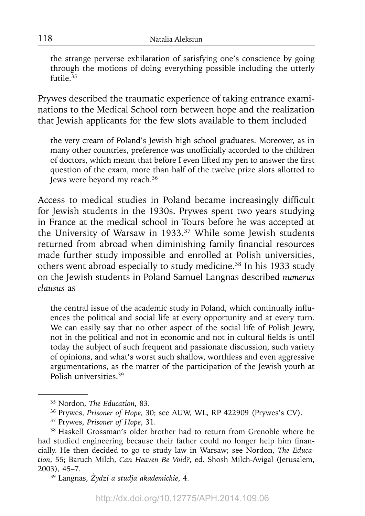the strange perverse exhilaration of satisfying one's conscience by going through the motions of doing everything possible including the utterly futile.<sup>35</sup>

Prywes described the traumatic experience of taking entrance examinations to the Medical School torn between hope and the realization that Jewish applicants for the few slots available to them included

the very cream of Poland's Jewish high school graduates. Moreover, as in many other countries, preference was unofficially accorded to the children of doctors, which meant that before I even lifted my pen to answer the first question of the exam, more than half of the twelve prize slots allotted to Jews were beyond my reach.36

Access to medical studies in Poland became increasingly difficult for Jewish students in the 1930s. Prywes spent two years studying in France at the medical school in Tours before he was accepted at the University of Warsaw in 1933.37 While some Jewish students returned from abroad when diminishing family financial resources made further study impossible and enrolled at Polish universities, others went abroad especially to study medicine.38 In his 1933 study on the Jewish students in Poland Samuel Langnas described *numerus clausus* as

the central issue of the academic study in Poland, which continually influences the political and social life at every opportunity and at every turn. We can easily say that no other aspect of the social life of Polish Jewry, not in the political and not in economic and not in cultural fields is until today the subject of such frequent and passionate discussion, such variety of opinions, and what's worst such shallow, worthless and even aggressive argumentations, as the matter of the participation of the Jewish youth at Polish universities 39

<sup>35</sup> Nordon, *The Education*, 83.

<sup>36</sup> Prywes, *Prisoner of Hope*, 30; see AUW, WL, RP 422909 (Prywes's CV).

<sup>37</sup> Prywes, *Prisoner of Hope*, 31.

<sup>&</sup>lt;sup>38</sup> Haskell Grossman's older brother had to return from Grenoble where he had studied engineering because their father could no longer help him financially. He then decided to go to study law in Warsaw; see Nordon, *The Education*, 55; Baruch Milch, *Can Heaven Be Void?*, ed. Shosh Milch-Avigal (Jerusalem, 2003), 45–7.

<sup>39</sup> Langnas, *Żydzi a studja akademickie*, 4.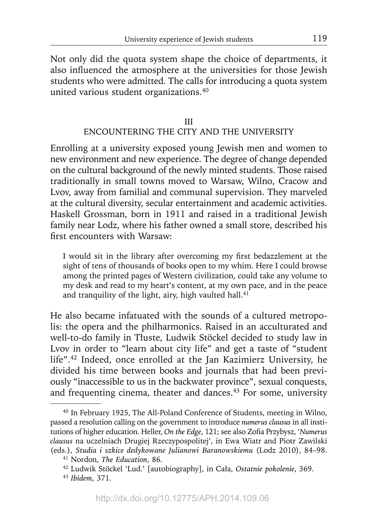Not only did the quota system shape the choice of departments, it also influenced the atmosphere at the universities for those Jewish students who were admitted. The calls for introducing a quota system united various student organizations.40

## III ENCOUNTERING THE CITY AND THE UNIVERSITY

Enrolling at a university exposed young Jewish men and women to new environment and new experience. The degree of change depended on the cultural background of the newly minted students. Those raised traditionally in small towns moved to Warsaw, Wilno, Cracow and Lvov, away from familial and communal supervision. They marveled at the cultural diversity, secular entertainment and academic activities. Haskell Grossman, born in 1911 and raised in a traditional Jewish family near Lodz, where his father owned a small store, described his first encounters with Warsaw:

I would sit in the library after overcoming my first bedazzlement at the sight of tens of thousands of books open to my whim. Here I could browse among the printed pages of Western civilization, could take any volume to my desk and read to my heart's content, at my own pace, and in the peace and tranquility of the light, airy, high vaulted hall. $41$ 

He also became infatuated with the sounds of a cultured metropolis: the opera and the philharmonics. Raised in an acculturated and well-to-do family in Tłuste, Ludwik Stöckel decided to study law in Lvov in order to "learn about city life" and get a taste of "student life".42 Indeed, once enrolled at the Jan Kazimierz University, he divided his time between books and journals that had been previously "inaccessible to us in the backwater province", sexual conquests, and frequenting cinema, theater and dances.<sup>43</sup> For some, university

<sup>40</sup> In February 1925, The All-Poland Conference of Students, meeting in Wilno, passed a resolution calling on the government to introduce *numerus clausus* in all institutions of higher education. Heller, *On the Edge*, 121; see also Zofia Przybysz, 'Numerus *clausus* na uczelniach Drugiej Rzeczypospolitej', in Ewa Wiatr and Piotr Zawilski (eds.), *Studia i szkice dedykowane Julianowi Baranowskiemu* (Lodz 2010), 84–98.

<sup>41</sup> Nordon, *The Education*, 86.

<sup>42</sup> Ludwik Stöckel 'Lud.' [autobiography], in Cała, *Ostatnie pokolenie*, 369.

<sup>43</sup>*Ibidem*, 371.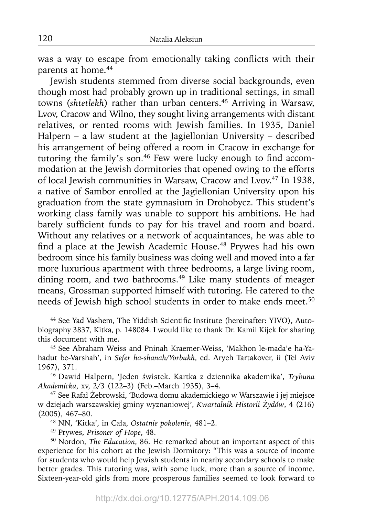was a way to escape from emotionally taking conflicts with their parents at home.<sup>44</sup>

Jewish students stemmed from diverse social backgrounds, even though most had probably grown up in traditional settings, in small towns (*shtetlekh*) rather than urban centers.45 Arriving in Warsaw, Lvov, Cracow and Wilno, they sought living arrangements with distant relatives, or rented rooms with Jewish families. In 1935, Daniel Halpern – a law student at the Jagiellonian University – described his arrangement of being offered a room in Cracow in exchange for tutoring the family's son.<sup>46</sup> Few were lucky enough to find accommodation at the Jewish dormitories that opened owing to the efforts of local Jewish communities in Warsaw, Cracow and Lvov.<sup>47</sup> In 1938, a native of Sambor enrolled at the Jagiellonian University upon his graduation from the state gymnasium in Drohobycz. This student's working class family was unable to support his ambitions. He had barely sufficient funds to pay for his travel and room and board. Without any relatives or a network of acquaintances, he was able to find a place at the Jewish Academic House.<sup>48</sup> Prywes had his own bedroom since his family business was doing well and moved into a far more luxurious apartment with three bedrooms, a large living room, dining room, and two bathrooms.<sup>49</sup> Like many students of meager means, Grossman supported himself with tutoring. He catered to the needs of Jewish high school students in order to make ends meet.<sup>50</sup>

46 Dawid Halpern, 'Jeden świstek. Kartka z dziennika akademika', *Trybuna Akademicka*, xv, 2/3 (122–3) (Feb.–March 1935), 3–4.

47 See Rafał Żebrowski, 'Budowa domu akademickiego w Warszawie i jej miejsce w dziejach warszawskiej gminy wyznaniowej', *Kwartalnik Historii Żydów*, 4 (216) (2005), 467–80.

48 NN, 'Kitka', in Cała, *Ostatnie pokolenie*, 481–2.

49 Prywes, *Prisoner of Hope*, 48.

50 Nordon, *The Education*, 86. He remarked about an important aspect of this experience for his cohort at the Jewish Dormitory: "This was a source of income for students who would help Jewish students in nearby secondary schools to make better grades. This tutoring was, with some luck, more than a source of income. Sixteen-year-old girls from more prosperous families seemed to look forward to

<sup>&</sup>lt;sup>44</sup> See Yad Vashem, The Yiddish Scientific Institute (hereinafter: YIVO), Autobiography 3837, Kitka, p. 148084. I would like to thank Dr. Kamil Kijek for sharing this document with me.

<sup>45</sup> See Abraham Weiss and Pninah Kraemer-Weiss, 'Makhon le-mada'e ha-Yahadut be-Varshah', in *Sefer ha-shanah/Yorbukh*, ed. Aryeh Tartakover, ii (Tel Aviv 1967), 371.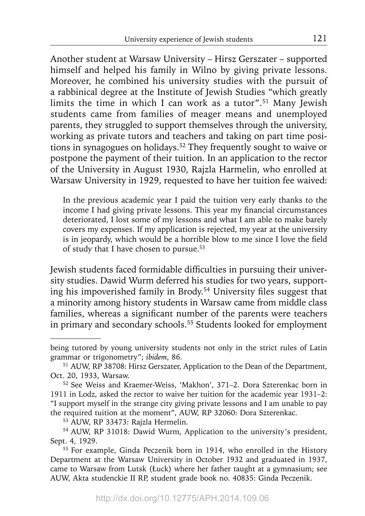Another student at Warsaw University - Hirsz Gerszater - supported himself and helped his family in Wilno by giving private lessons. Moreover, he combined his university studies with the pursuit of a rabbinical degree at the Institute of Jewish Studies "which greatly limits the time in which I can work as a tutor".<sup>51</sup> Many Jewish students came from families of meager means and unemployed parents, they struggled to support themselves through the university, working as private tutors and teachers and taking on part time positions in synagogues on holidays.52 They frequently sought to waive or postpone the payment of their tuition. In an application to the rector of the University in August 1930, Rajzla Harmelin, who enrolled at Warsaw University in 1929, requested to have her tuition fee waived:

In the previous academic year I paid the tuition very early thanks to the income I had giving private lessons. This year my financial circumstances deteriorated, I lost some of my lessons and what I am able to make barely covers my expenses. If my application is rejected, my year at the university is in jeopardy, which would be a horrible blow to me since I love the field of study that I have chosen to pursue.53

Jewish students faced formidable difficulties in pursuing their university studies. Dawid Wurm deferred his studies for two years, supporting his impoverished family in Brody.<sup>54</sup> University files suggest that a minority among history students in Warsaw came from middle class families, whereas a significant number of the parents were teachers in primary and secondary schools.<sup>55</sup> Students looked for employment

being tutored by young university students not only in the strict rules of Latin grammar or trigonometry"; *ibidem*, 86.

<sup>51</sup> AUW, RP 38708: Hirsz Gerszater, Application to the Dean of the Department, Oct. 20, 1933, Warsaw.

<sup>52</sup> See Weiss and Kraemer-Weiss, 'Makhon', 371–2. Dora Szterenkac born in 1911 in Lodz, asked the rector to waive her tuition for the academic year 1931–2: "I support myself in the strange city giving private lessons and I am unable to pay the required tuition at the moment", AUW, RP 32060: Dora Szterenkac.

<sup>53</sup> AUW, RP 33473: Rajzla Hermelin.

<sup>54</sup> AUW, RP 31018: Dawid Wurm, Application to the university's president, Sept. 4, 1929.

<sup>55</sup> For example, Ginda Peczenik born in 1914, who enrolled in the History Department at the Warsaw University in October 1932 and graduated in 1937, came to Warsaw from Lutsk (Łuck) where her father taught at a gymnasium; see AUW, Akta studenckie II RP, student grade book no. 40835: Ginda Peczenik.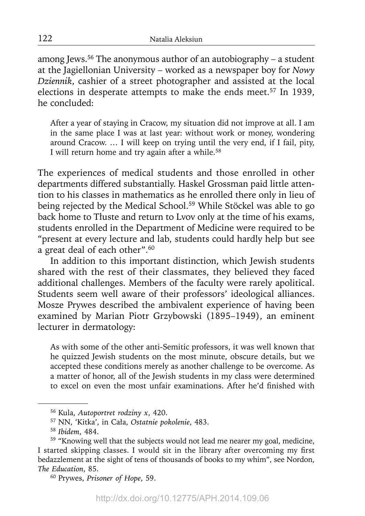among Jews.<sup>56</sup> The anonymous author of an autobiography – a student at the Jagiellonian University – worked as a newspaper boy for *Nowy Dziennik*, cashier of a street photographer and assisted at the local elections in desperate attempts to make the ends meet.<sup>57</sup> In 1939, he concluded:

After a year of staying in Cracow, my situation did not improve at all. I am in the same place I was at last year: without work or money, wondering around Cracow. … I will keep on trying until the very end, if I fail, pity, I will return home and try again after a while.<sup>58</sup>

The experiences of medical students and those enrolled in other departments differed substantially. Haskel Grossman paid little attention to his classes in mathematics as he enrolled there only in lieu of being rejected by the Medical School.<sup>59</sup> While Stöckel was able to go back home to Tłuste and return to Lvov only at the time of his exams, students enrolled in the Department of Medicine were required to be "present at every lecture and lab, students could hardly help but see a great deal of each other".60

In addition to this important distinction, which Jewish students shared with the rest of their classmates, they believed they faced additional challenges. Members of the faculty were rarely apolitical. Students seem well aware of their professors' ideological alliances. Mosze Prywes described the ambivalent experience of having been examined by Marian Piotr Grzybowski (1895–1949), an eminent lecturer in dermatology:

As with some of the other anti-Semitic professors, it was well known that he quizzed Jewish students on the most minute, obscure details, but we accepted these conditions merely as another challenge to be overcome. As a matter of honor, all of the Jewish students in my class were determined to excel on even the most unfair examinations. After he'd finished with

<sup>56</sup> Kula, *Autoportret rodziny x*, 420.

<sup>57</sup> NN, 'Kitka', in Cała, *Ostatnie pokolenie*, 483.

<sup>58</sup>*Ibidem*, 484.

<sup>59 &</sup>quot;Knowing well that the subjects would not lead me nearer my goal, medicine, I started skipping classes. I would sit in the library after overcoming my first bedazzlement at the sight of tens of thousands of books to my whim", see Nordon, *The Education*, 85.

<sup>60</sup> Prywes, *Prisoner of Hope*, 59.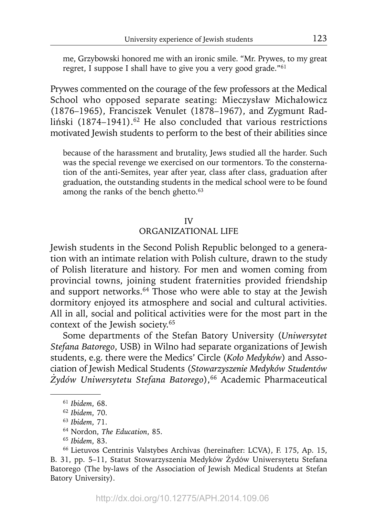me, Grzybowski honored me with an ironic smile. "Mr. Prywes, to my great regret, I suppose I shall have to give you a very good grade."61

Prywes commented on the courage of the few professors at the Medical School who opposed separate seating: Mieczysław Michałowicz (1876–1965), Franciszek Venulet (1878–1967), and Zygmunt Radliński (1874–1941).<sup>62</sup> He also concluded that various restrictions motivated Jewish students to perform to the best of their abilities since

because of the harassment and brutality, Jews studied all the harder. Such was the special revenge we exercised on our tormentors. To the consternation of the anti-Semites, year after year, class after class, graduation after graduation, the outstanding students in the medical school were to be found among the ranks of the bench ghetto.<sup>63</sup>

#### IV

#### ORGANIZATIONAL LIFE

Jewish students in the Second Polish Republic belonged to a generation with an intimate relation with Polish culture, drawn to the study of Polish literature and history. For men and women coming from provincial towns, joining student fraternities provided friendship and support networks.<sup>64</sup> Those who were able to stay at the Jewish dormitory enjoyed its atmosphere and social and cultural activities. All in all, social and political activities were for the most part in the context of the Jewish society.65

Some departments of the Stefan Batory University (*Uniwersytet Stefana Batorego*, USB) in Wilno had separate organizations of Jewish students, e.g. there were the Medics' Circle (*Koło Medyków*) and Association of Jewish Medical Students (*Stowarzyszenie Medyków Studentów Żydów Uniwersytetu Stefana Batorego*),66 Academic Pharmaceutical

<sup>61</sup>*Ibidem*, 68.

<sup>62</sup>*Ibidem*, 70.

<sup>63</sup>*Ibidem*, 71.

<sup>64</sup> Nordon, *The Education*, 85.

<sup>65</sup>*Ibidem*, 83.

<sup>66</sup> Lietuvos Centrinis Valstybes Archivas (hereinafter: LCVA), F. 175, Ap. 15, B. 31, pp. 5–11, Statut Stowarzyszenia Medyków Żydów Uniwersytetu Stefana Batorego (The by-laws of the Association of Jewish Medical Students at Stefan Batory University).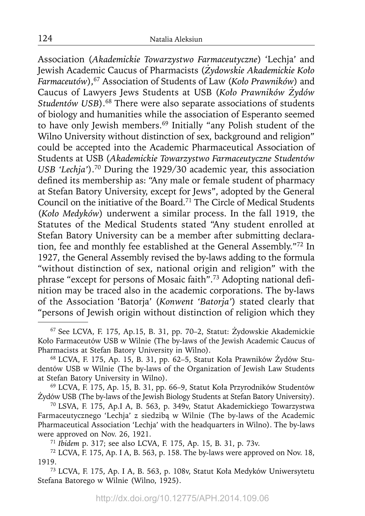Association (*Akademickie Towarzystwo Farmaceutyczne*) 'Lechja' and Jewish Academic Caucus of Pharmacists (*Żydowskie Akademickie Koło Farmaceutów*),67 Association of Students of Law (*Koło Prawników*) and Caucus of Lawyers Jews Students at USB (*Koło Prawników Żydów*  Studentów USB).<sup>68</sup> There were also separate associations of students of biology and humanities while the association of Esperanto seemed to have only Jewish members.69 Initially "any Polish student of the Wilno University without distinction of sex, background and religion" could be accepted into the Academic Pharmaceutical Association of Students at USB (*Akademickie Towarzystwo Farmaceutyczne Studentów USB 'Lechja'*).70 During the 1929/30 academic year, this association defined its membership as: "Any male or female student of pharmacy at Stefan Batory University, except for Jews", adopted by the General Council on the initiative of the Board.71 The Circle of Medical Students (*Koło Medyków*) underwent a similar process. In the fall 1919, the Statutes of the Medical Students stated "Any student enrolled at Stefan Batory University can be a member after submitting declaration, fee and monthly fee established at the General Assembly."72 In 1927, the General Assembly revised the by-laws adding to the formula "without distinction of sex, national origin and religion" with the phrase "except for persons of Mosaic faith".<sup>73</sup> Adopting national definition may be traced also in the academic corporations. The by-laws of the Association 'Batorja' (*Konwent 'Batorja'*) stated clearly that "persons of Jewish origin without distinction of religion which they

69 LCVA, F. 175, Ap. 15, B. 31, pp. 66–9, Statut Koła Przyrodników Studentów Żydów USB (The by-laws of the Jewish Biology Students at Stefan Batory University).

70 LSVA, F. 175, Ap.I A, B. 563, p. 349v, Statut Akademickiego Towarzystwa Farmaceutycznego 'Lechja' z siedzibą w Wilnie (The by-laws of the Academic Pharmaceutical Association 'Lechja' with the headquarters in Wilno). The by-laws were approved on Nov. 26, 1921. 71 *Ibidem* p. 317; see also LCVA, F. 175, Ap. 15, B. 31, p. 73v.

 $72$  LCVA, F. 175, Ap. I A, B. 563, p. 158. The by-laws were approved on Nov. 18, 1919.

73 LCVA, F. 175, Ap. I A, B. 563, p. 108v, Statut Koła Medyków Uniwersytetu Stefana Batorego w Wilnie (Wilno, 1925).

<sup>67</sup> See LCVA, F. 175, Ap.15, B. 31, pp. 70–2, Statut: Żydowskie Akademickie Koło Farmaceutów USB w Wilnie (The by-laws of the Jewish Academic Caucus of Pharmacists at Stefan Batory University in Wilno).

<sup>68</sup> LCVA, F. 175, Ap. 15, B. 31, pp. 62–5, Statut Koła Prawników Żydów Studentów USB w Wilnie (The by-laws of the Organization of Jewish Law Students at Stefan Batory University in Wilno).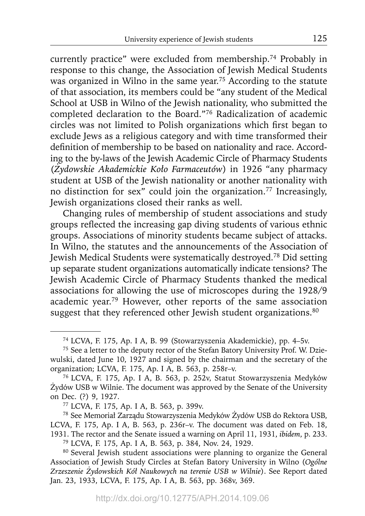currently practice" were excluded from membership.74 Probably in response to this change, the Association of Jewish Medical Students was organized in Wilno in the same year.<sup>75</sup> According to the statute of that association, its members could be "any student of the Medical School at USB in Wilno of the Jewish nationality, who submitted the completed declaration to the Board."76 Radicalization of academic circles was not limited to Polish organizations which first began to exclude Jews as a religious category and with time transformed their definition of membership to be based on nationality and race. According to the by-laws of the Jewish Academic Circle of Pharmacy Students (*Żydowskie Akademickie Koło Farmaceutów*) in 1926 "any pharmacy student at USB of the Jewish nationality or another nationality with no distinction for sex" could join the organization.77 Increasingly, Jewish organizations closed their ranks as well.

Changing rules of membership of student associations and study groups reflected the increasing gap diving students of various ethnic groups. Associations of minority students became subject of attacks. In Wilno, the statutes and the announcements of the Association of Jewish Medical Students were systematically destroyed.78 Did setting up separate student organizations automatically indicate tensions? The Jewish Academic Circle of Pharmacy Students thanked the medical associations for allowing the use of microscopes during the 1928/9 academic year.79 However, other reports of the same association suggest that they referenced other Jewish student organizations.<sup>80</sup>

78 See Memoriał Zarządu Stowarzyszenia Medyków Żydów USB do Rektora USB, LCVA, F. 175, Ap. I A, B. 563, p. 236r–v. The document was dated on Feb. 18, 1931. The rector and the Senate issued a warning on April 11, 1931, *ibidem*, p. 233.

<sup>74</sup> LCVA, F. 175, Ap. I A, B. 99 (Stowarzyszenia Akademickie), pp. 4–5v.

<sup>&</sup>lt;sup>75</sup> See a letter to the deputy rector of the Stefan Batory University Prof. W. Dziewulski, dated June 10, 1927 and signed by the chairman and the secretary of the organization; LCVA, F. 175, Ap. I A, B. 563, p. 258r-v.

<sup>&</sup>lt;sup>76</sup> LCVA, F. 175, Ap. I A, B. 563, p. 252v, Statut Stowarzyszenia Medyków Żydów USB w Wilnie. The document was approved by the Senate of the University on Dec. (?) 9, 1927.

<sup>77</sup> LCVA, F. 175, Ap. I A, B. 563, p. 399v.

<sup>79</sup> LCVA, F. 175, Ap. I A, B. 563, p. 384, Nov. 24, 1929.

<sup>&</sup>lt;sup>80</sup> Several Jewish student associations were planning to organize the General Association of Jewish Study Circles at Stefan Batory University in Wilno (*Ogólne Zrzeszenie Żydowskich Kół Naukowych na terenie USB w Wilnie*). See Report dated Jan. 23, 1933, LCVA, F. 175, Ap. I A, B. 563, pp. 368v, 369.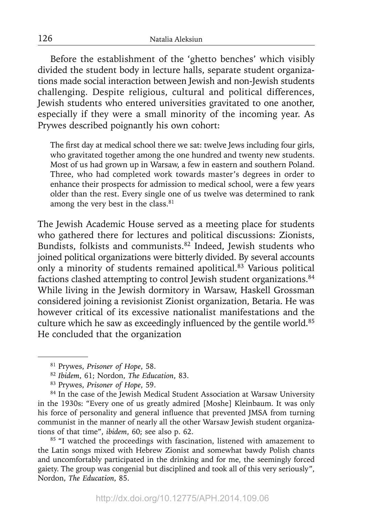Before the establishment of the 'ghetto benches' which visibly divided the student body in lecture halls, separate student organizations made social interaction between Jewish and non-Jewish students challenging. Despite religious, cultural and political differences, Jewish students who entered universities gravitated to one another, especially if they were a small minority of the incoming year. As Prywes described poignantly his own cohort:

The first day at medical school there we sat: twelve Jews including four girls, who gravitated together among the one hundred and twenty new students. Most of us had grown up in Warsaw, a few in eastern and southern Poland. Three, who had completed work towards master's degrees in order to enhance their prospects for admission to medical school, were a few years older than the rest. Every single one of us twelve was determined to rank among the very best in the class.<sup>81</sup>

The Jewish Academic House served as a meeting place for students who gathered there for lectures and political discussions: Zionists, Bundists, folkists and communists.82 Indeed, Jewish students who joined political organizations were bitterly divided. By several accounts only a minority of students remained apolitical.83 Various political factions clashed attempting to control Jewish student organizations.<sup>84</sup> While living in the Jewish dormitory in Warsaw, Haskell Grossman considered joining a revisionist Zionist organization, Betaria. He was however critical of its excessive nationalist manifestations and the culture which he saw as exceedingly influenced by the gentile world.<sup>85</sup> He concluded that the organization

<sup>85</sup> "I watched the proceedings with fascination, listened with amazement to the Latin songs mixed with Hebrew Zionist and somewhat bawdy Polish chants and uncomfortably participated in the drinking and for me, the seemingly forced gaiety. The group was congenial but disciplined and took all of this very seriously", Nordon, *The Education*, 85.

126

<sup>81</sup> Prywes, *Prisoner of Hope*, 58.

<sup>82</sup>*Ibidem*, 61; Nordon, *The Education*, 83.

<sup>83</sup> Prywes, *Prisoner of Hope*, 59.

<sup>&</sup>lt;sup>84</sup> In the case of the Jewish Medical Student Association at Warsaw University in the 1930s: "Every one of us greatly admired [Moshe] Kleinbaum. It was only his force of personality and general influence that prevented JMSA from turning communist in the manner of nearly all the other Warsaw Jewish student organizations of that time", *ibidem*, 60; see also p. 62.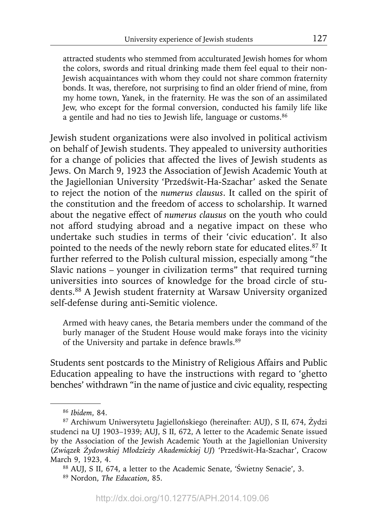attracted students who stemmed from acculturated Jewish homes for whom the colors, swords and ritual drinking made them feel equal to their non-Jewish acquaintances with whom they could not share common fraternity bonds. It was, therefore, not surprising to find an older friend of mine, from my home town, Yanek, in the fraternity. He was the son of an assimilated Jew, who except for the formal conversion, conducted his family life like a gentile and had no ties to Jewish life, language or customs.<sup>86</sup>

Jewish student organizations were also involved in political activism on behalf of Jewish students. They appealed to university authorities for a change of policies that affected the lives of Jewish students as Jews. On March 9, 1923 the Association of Jewish Academic Youth at the Jagiellonian University 'Przedświt-Ha-Szachar' asked the Senate to reject the notion of the *numerus clausus*. It called on the spirit of the constitution and the freedom of access to scholarship. It warned about the negative effect of *numerus clausus* on the youth who could not afford studying abroad and a negative impact on these who undertake such studies in terms of their 'civic education'. It also pointed to the needs of the newly reborn state for educated elites.<sup>87</sup> It further referred to the Polish cultural mission, especially among "the Slavic nations – younger in civilization terms" that required turning universities into sources of knowledge for the broad circle of students.88 A Jewish student fraternity at Warsaw University organized self-defense during anti-Semitic violence.

Armed with heavy canes, the Betaria members under the command of the burly manager of the Student House would make forays into the vicinity of the University and partake in defence brawls.89

Students sent postcards to the Ministry of Religious Affairs and Public Education appealing to have the instructions with regard to 'ghetto benches' withdrawn "in the name of justice and civic equality, respecting

<sup>86</sup>*Ibidem*, 84.

<sup>87</sup> Archiwum Uniwersytetu Jagiellońskiego (hereinafter: AUJ), S II, 674, Żydzi studenci na UJ 1903–1939; AUJ, S II, 672, A letter to the Academic Senate issued by the Association of the Jewish Academic Youth at the Jagiellonian University (*Związek Żydowskiej Młodzieży Akademickiej UJ*) 'Przedświt-Ha-Szachar', Cracow March 9, 1923, 4.<br><sup>88</sup> AUJ, S II, 674, a letter to the Academic Senate, 'Świetny Senacie', 3.

<sup>89</sup> Nordon, *The Education*, 85.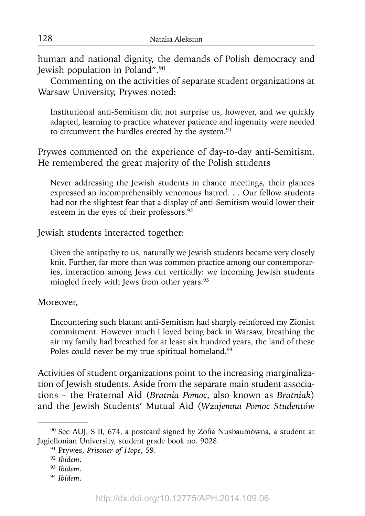human and national dignity, the demands of Polish democracy and Jewish population in Poland".90

Commenting on the activities of separate student organizations at Warsaw University, Prywes noted:

Institutional anti-Semitism did not surprise us, however, and we quickly adapted, learning to practice whatever patience and ingenuity were needed to circumvent the hurdles erected by the system.<sup>91</sup>

Prywes commented on the experience of day-to-day anti-Semitism. He remembered the great majority of the Polish students

Never addressing the Jewish students in chance meetings, their glances expressed an incomprehensibly venomous hatred. … Our fellow students had not the slightest fear that a display of anti-Semitism would lower their esteem in the eyes of their professors.<sup>92</sup>

Jewish students interacted together:

Given the antipathy to us, naturally we Jewish students became very closely knit. Further, far more than was common practice among our contemporaries, interaction among Jews cut vertically: we incoming Jewish students mingled freely with Jews from other years.<sup>93</sup>

Moreover,

Encountering such blatant anti-Semitism had sharply reinforced my Zionist commitment. However much I loved being back in Warsaw, breathing the air my family had breathed for at least six hundred years, the land of these Poles could never be my true spiritual homeland.<sup>94</sup>

Activities of student organizations point to the increasing marginalization of Jewish students. Aside from the separate main student associations – the Fraternal Aid (*Bratnia Pomoc*, also known as *Bratniak*) and the Jewish Students' Mutual Aid (*Wzajemna Pomoc Studentów* 

<sup>&</sup>lt;sup>90</sup> See AUJ, S II, 674, a postcard signed by Zofia Nusbaumówna, a student at Jagiellonian University, student grade book no. 9028.

<sup>91</sup> Prywes, *Prisoner of Hope*, 59.

<sup>92</sup>*Ibidem*.

<sup>93</sup>*Ibidem*.

<sup>94</sup>*Ibidem*.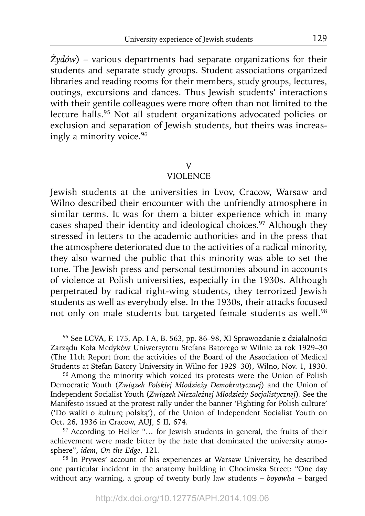*Żydów*) – various departments had separate organizations for their students and separate study groups. Student associations organized libraries and reading rooms for their members, study groups, lectures, outings, excursions and dances. Thus Jewish students' interactions with their gentile colleagues were more often than not limited to the lecture halls.95 Not all student organizations advocated policies or exclusion and separation of Jewish students, but theirs was increasingly a minority voice.96

#### V

## **VIOLENCE**

Jewish students at the universities in Lvov, Cracow, Warsaw and Wilno described their encounter with the unfriendly atmosphere in similar terms. It was for them a bitter experience which in many cases shaped their identity and ideological choices.<sup>97</sup> Although they stressed in letters to the academic authorities and in the press that the atmosphere deteriorated due to the activities of a radical minority, they also warned the public that this minority was able to set the tone. The Jewish press and personal testimonies abound in accounts of violence at Polish universities, especially in the 1930s. Although perpetrated by radical right-wing students, they terrorized Jewish students as well as everybody else. In the 1930s, their attacks focused not only on male students but targeted female students as well.<sup>98</sup>

<sup>95</sup> See LCVA, F. 175, Ap. I A, B. 563, pp. 86–98, XI Sprawozdanie z działalności Zarządu Koła Medyków Uniwersytetu Stefana Batorego w Wilnie za rok 1929–30 (The 11th Report from the activities of the Board of the Association of Medical Students at Stefan Batory University in Wilno for 1929–30), Wilno, Nov. 1, 1930.

<sup>&</sup>lt;sup>96</sup> Among the minority which voiced its protests were the Union of Polish Democratic Youth (*Związek Polskiej Młodzieży Demokratycznej*) and the Union of Independent Socialist Youth (*Związek Niezależnej Młodzieży Socjalistycznej*). See the Manifesto issued at the protest rally under the banner 'Fighting for Polish culture' ('Do walki o kulturę polską'), of the Union of Independent Socialist Youth on Oct. 26, 1936 in Cracow, AUJ, S II, 674.

<sup>&</sup>lt;sup>97</sup> According to Heller "... for Jewish students in general, the fruits of their achievement were made bitter by the hate that dominated the university atmosphere", *idem*, *On the Edge*, 121.

<sup>98</sup> In Prywes' account of his experiences at Warsaw University, he described one particular incident in the anatomy building in Chocimska Street: "One day without any warning, a group of twenty burly law students – *boyowka* – barged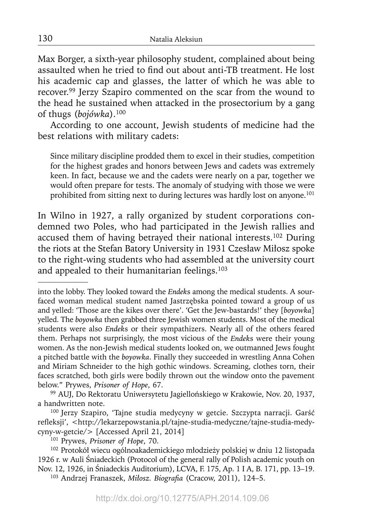Max Borger, a sixth-year philosophy student, complained about being assaulted when he tried to find out about anti-TB treatment. He lost his academic cap and glasses, the latter of which he was able to recover.99 Jerzy Szapiro commented on the scar from the wound to the head he sustained when attacked in the prosectorium by a gang of thugs (*bojówka*).100

According to one account, Jewish students of medicine had the best relations with military cadets:

Since military discipline prodded them to excel in their studies, competition for the highest grades and honors between Jews and cadets was extremely keen. In fact, because we and the cadets were nearly on a par, together we would often prepare for tests. The anomaly of studying with those we were prohibited from sitting next to during lectures was hardly lost on anyone.101

In Wilno in 1927, a rally organized by student corporations condemned two Poles, who had participated in the Jewish rallies and accused them of having betrayed their national interests.<sup>102</sup> During the riots at the Stefan Batory University in 1931 Czesław Miłosz spoke to the right-wing students who had assembled at the university court and appealed to their humanitarian feelings.<sup>103</sup>

<sup>103</sup> Andrzej Franaszek, *Miłosz. Biografia* (Cracow, 2011), 124-5.

into the lobby. They looked toward the *Endek*s among the medical students. A sourfaced woman medical student named Jastrzębska pointed toward a group of us and yelled: 'Those are the kikes over there'. 'Get the Jew-bastards!' they [*boyowka*] yelled. The *boyowka* then grabbed three Jewish women students. Most of the medical students were also *Endek*s or their sympathizers. Nearly all of the others feared them. Perhaps not surprisingly, the most vicious of the *Endek*s were their young women. As the non-Jewish medical students looked on, we outmanned Jews fought a pitched battle with the *boyowka*. Finally they succeeded in wrestling Anna Cohen and Miriam Schneider to the high gothic windows. Screaming, clothes torn, their faces scratched, both girls were bodily thrown out the window onto the pavement below." Prywes, *Prisoner of Hope*, 67.

<sup>&</sup>lt;sup>99</sup> AUJ, Do Rektoratu Uniwersytetu Jagiellońskiego w Krakowie, Nov. 20, 1937, a handwritten note.

<sup>&</sup>lt;sup>100</sup> Jerzy Szapiro, 'Tajne studia medycyny w getcie. Szczypta narracji. Garść refleksji', <http://lekarzepowstania.pl/tajne-studia-medyczne/tajne-studia-medycyny-w-getcie/> [Accessed April 21, 2014]

<sup>101</sup> Prywes, *Prisoner of Hope*, 70.

<sup>&</sup>lt;sup>102</sup> Protokół wiecu ogólnoakademickiego młodzieży polskiej w dniu 12 listopada 1926 r. w Auli Śniadeckich (Protocol of the general rally of Polish academic youth on Nov. 12, 1926, in Śniadeckis Auditorium), LCVA, F. 175, Ap. 1 I A, B. 171, pp. 13–19.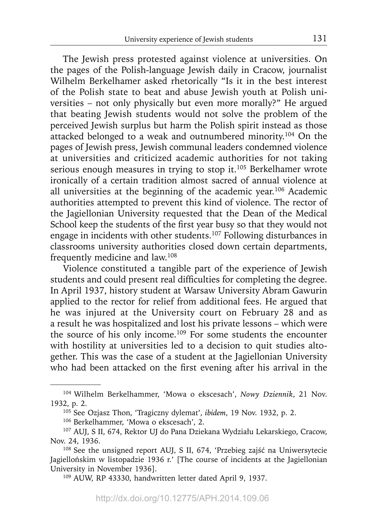The Jewish press protested against violence at universities. On the pages of the Polish-language Jewish daily in Cracow, journalist Wilhelm Berkelhamer asked rhetorically "Is it in the best interest of the Polish state to beat and abuse Jewish youth at Polish universities – not only physically but even more morally?" He argued that beating Jewish students would not solve the problem of the perceived Jewish surplus but harm the Polish spirit instead as those attacked belonged to a weak and outnumbered minority.<sup>104</sup> On the pages of Jewish press, Jewish communal leaders condemned violence at universities and criticized academic authorities for not taking serious enough measures in trying to stop it.<sup>105</sup> Berkelhamer wrote ironically of a certain tradition almost sacred of annual violence at all universities at the beginning of the academic year.106 Academic authorities attempted to prevent this kind of violence. The rector of the Jagiellonian University requested that the Dean of the Medical School keep the students of the first year busy so that they would not engage in incidents with other students.107 Following disturbances in classrooms university authorities closed down certain departments, frequently medicine and law.108

Violence constituted a tangible part of the experience of Jewish students and could present real difficulties for completing the degree. In April 1937, history student at Warsaw University Abram Gawurin applied to the rector for relief from additional fees. He argued that he was injured at the University court on February 28 and as a result he was hospitalized and lost his private lessons – which were the source of his only income.109 For some students the encounter with hostility at universities led to a decision to quit studies altogether. This was the case of a student at the Jagiellonian University who had been attacked on the first evening after his arrival in the

<sup>104</sup> Wilhelm Berkelhammer, 'Mowa o ekscesach', *Nowy Dziennik*, 21 Nov. 1932, p. 2.

<sup>105</sup> See Ozjasz Thon, 'Tragiczny dylemat', *ibidem*, 19 Nov. 1932, p. 2.

<sup>106</sup> Berkelhammer, 'Mowa o ekscesach', 2.

<sup>107</sup> AUJ, S II, 674, Rektor UJ do Pana Dziekana Wydziału Lekarskiego, Cracow, Nov. 24, 1936.

<sup>108</sup> See the unsigned report AUJ, S II, 674, 'Przebieg zajść na Uniwersytecie Jagiellońskim w listopadzie 1936 r.' [The course of incidents at the Jagiellonian University in November 1936].

<sup>109</sup> AUW, RP 43330, handwritten letter dated April 9, 1937.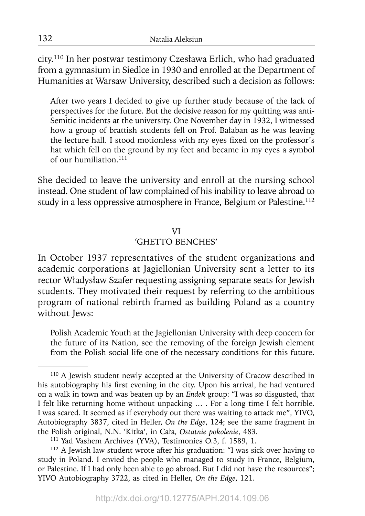city.110 In her postwar testimony Czesława Erlich, who had graduated from a gymnasium in Siedlce in 1930 and enrolled at the Department of Humanities at Warsaw University, described such a decision as follows:

After two years I decided to give up further study because of the lack of perspectives for the future. But the decisive reason for my quitting was anti-Semitic incidents at the university. One November day in 1932, I witnessed how a group of brattish students fell on Prof. Bałaban as he was leaving the lecture hall. I stood motionless with my eyes fixed on the professor's hat which fell on the ground by my feet and became in my eyes a symbol of our humiliation.<sup>111</sup>

She decided to leave the university and enroll at the nursing school instead. One student of law complained of his inability to leave abroad to study in a less oppressive atmosphere in France, Belgium or Palestine.<sup>112</sup>

#### VI

#### 'GHETTO BENCHES'

In October 1937 representatives of the student organizations and academic corporations at Jagiellonian University sent a letter to its rector Władysław Szafer requesting assigning separate seats for Jewish students. They motivated their request by referring to the ambitious program of national rebirth framed as building Poland as a country without Jews:

Polish Academic Youth at the Jagiellonian University with deep concern for the future of its Nation, see the removing of the foreign Jewish element from the Polish social life one of the necessary conditions for this future.

<sup>110</sup> A Jewish student newly accepted at the University of Cracow described in his autobiography his first evening in the city. Upon his arrival, he had ventured on a walk in town and was beaten up by an *Endek* group: "I was so disgusted, that I felt like returning home without unpacking … . For a long time I felt horrible. I was scared. It seemed as if everybody out there was waiting to attack me", YIVO, Autobiography 3837, cited in Heller, *On the Edge*, 124; see the same fragment in the Polish original, N.N. 'Kitka', in Cała, *Ostatnie pokolenie*, 483.

<sup>111</sup> Yad Vashem Archives (YVA), Testimonies O.3, f. 1589, 1.

<sup>112</sup> A Jewish law student wrote after his graduation: "I was sick over having to study in Poland. I envied the people who managed to study in France, Belgium, or Palestine. If I had only been able to go abroad. But I did not have the resources"; YIVO Autobiography 3722, as cited in Heller, *On the Edge*, 121.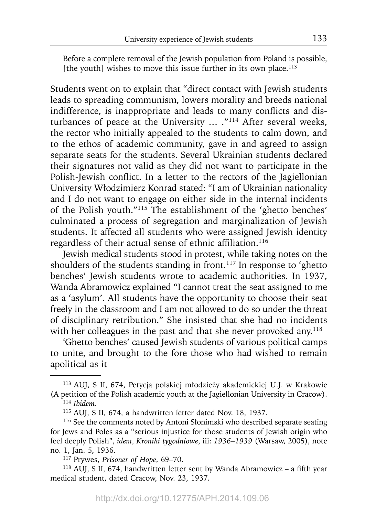Before a complete removal of the Jewish population from Poland is possible, [the youth] wishes to move this issue further in its own place.<sup>113</sup>

Students went on to explain that "direct contact with Jewish students leads to spreading communism, lowers morality and breeds national indifference, is inappropriate and leads to many conflicts and disturbances of peace at the University ... ."<sup>114</sup> After several weeks, the rector who initially appealed to the students to calm down, and to the ethos of academic community, gave in and agreed to assign separate seats for the students. Several Ukrainian students declared their signatures not valid as they did not want to participate in the Polish-Jewish conflict. In a letter to the rectors of the Jagiellonian University Włodzimierz Konrad stated: "I am of Ukrainian nationality and I do not want to engage on either side in the internal incidents of the Polish youth."115 The establishment of the 'ghetto benches' culminated a process of segregation and marginalization of Jewish students. It affected all students who were assigned Jewish identity regardless of their actual sense of ethnic affiliation.<sup>116</sup>

Jewish medical students stood in protest, while taking notes on the shoulders of the students standing in front.<sup>117</sup> In response to 'ghetto benches' Jewish students wrote to academic authorities. In 1937, Wanda Abramowicz explained "I cannot treat the seat assigned to me as a 'asylum'. All students have the opportunity to choose their seat freely in the classroom and I am not allowed to do so under the threat of disciplinary retribution." She insisted that she had no incidents with her colleagues in the past and that she never provoked any.<sup>118</sup>

'Ghetto benches' caused Jewish students of various political camps to unite, and brought to the fore those who had wished to remain apolitical as it

<sup>113</sup> AUJ, S II, 674, Petycja polskiej młodzieży akademickiej U.J. w Krakowie (A petition of the Polish academic youth at the Jagiellonian University in Cracow).

<sup>114</sup>*Ibidem*.

<sup>115</sup> AUJ, S II, 674, a handwritten letter dated Nov. 18, 1937.

<sup>&</sup>lt;sup>116</sup> See the comments noted by Antoni Słonimski who described separate seating for Jews and Poles as a "serious injustice for those students of Jewish origin who feel deeply Polish", *idem*, *Kroniki tygodniowe*, iii: *1936–1939* (Warsaw, 2005), note no. 1, Jan. 5, 1936.

<sup>117</sup> Prywes, *Prisoner of Hope*, 69–70.

 $118$  AUJ, S II, 674, handwritten letter sent by Wanda Abramowicz – a fifth year medical student, dated Cracow, Nov. 23, 1937.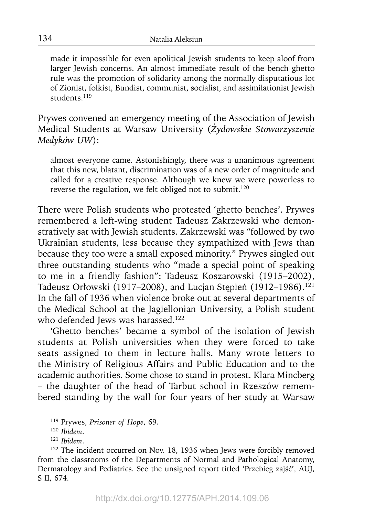made it impossible for even apolitical Jewish students to keep aloof from larger Jewish concerns. An almost immediate result of the bench ghetto rule was the promotion of solidarity among the normally disputatious lot of Zionist, folkist, Bundist, communist, socialist, and assimilationist Jewish students.119

Prywes convened an emergency meeting of the Association of Jewish Medical Students at Warsaw University (*Żydowskie Stowarzyszenie Medyków UW*):

almost everyone came. Astonishingly, there was a unanimous agreement that this new, blatant, discrimination was of a new order of magnitude and called for a creative response. Although we knew we were powerless to reverse the regulation, we felt obliged not to submit.<sup>120</sup>

There were Polish students who protested 'ghetto benches'. Prywes remembered a left-wing student Tadeusz Zakrzewski who demonstratively sat with Jewish students. Zakrzewski was "followed by two Ukrainian students, less because they sympathized with Jews than because they too were a small exposed minority." Prywes singled out three outstanding students who "made a special point of speaking to me in a friendly fashion": Tadeusz Koszarowski (1915–2002), Tadeusz Orłowski (1917–2008), and Lucjan Stępień (1912–1986).<sup>121</sup> In the fall of 1936 when violence broke out at several departments of the Medical School at the Jagiellonian University, a Polish student who defended Jews was harassed.<sup>122</sup>

'Ghetto benches' became a symbol of the isolation of Jewish students at Polish universities when they were forced to take seats assigned to them in lecture halls. Many wrote letters to the Ministry of Religious Affairs and Public Education and to the academic authorities. Some chose to stand in protest. Klara Mincberg – the daughter of the head of Tarbut school in Rzeszów remembered standing by the wall for four years of her study at Warsaw

<sup>119</sup> Prywes, *Prisoner of Hope*, 69.

<sup>120</sup>*Ibidem*.

<sup>121</sup>*Ibidem*.

<sup>&</sup>lt;sup>122</sup> The incident occurred on Nov. 18, 1936 when Jews were forcibly removed from the classrooms of the Departments of Normal and Pathological Anatomy, Dermatology and Pediatrics. See the unsigned report titled 'Przebieg zajść', AUJ, S II, 674.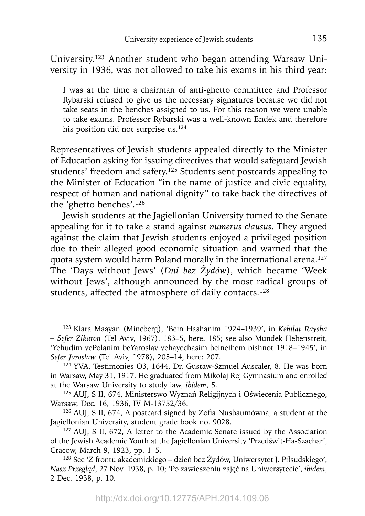University.123 Another student who began attending Warsaw University in 1936, was not allowed to take his exams in his third year:

I was at the time a chairman of anti-ghetto committee and Professor Rybarski refused to give us the necessary signatures because we did not take seats in the benches assigned to us. For this reason we were unable to take exams. Professor Rybarski was a well-known Endek and therefore his position did not surprise us.<sup>124</sup>

Representatives of Jewish students appealed directly to the Minister of Education asking for issuing directives that would safeguard Jewish students' freedom and safety.<sup>125</sup> Students sent postcards appealing to the Minister of Education "in the name of justice and civic equality, respect of human and national dignity" to take back the directives of the 'ghetto benches'.126

Jewish students at the Jagiellonian University turned to the Senate appealing for it to take a stand against *numerus clausus*. They argued against the claim that Jewish students enjoyed a privileged position due to their alleged good economic situation and warned that the quota system would harm Poland morally in the international arena.<sup>127</sup> The 'Days without Jews' (*Dni bez Żydów*), which became 'Week without Jews', although announced by the most radical groups of students, affected the atmosphere of daily contacts.<sup>128</sup>

<sup>123</sup> Klara Maayan (Mincberg), 'Bein Hashanim 1924–1939', in *Kehilat Raysha – Sefer Zikaron* (Tel Aviv, 1967), 183–5, here: 185; see also Mundek Hebenstreit, 'Yehudim vePolanim beYaroslav vehayechasim beineihem bishnot 1918–1945', in *Sefer Jaroslaw* (Tel Aviv, 1978), 205–14, here: 207.

<sup>124</sup> YVA, Testimonies O3, 1644, Dr. Gustaw-Szmuel Auscaler, 8. He was born in Warsaw, May 31, 1917. He graduated from Mikołaj Rej Gymnasium and enrolled at the Warsaw University to study law, *ibidem*, 5. 125 AUJ, S II, 674, Ministerswo Wyznań Religijnych i <sup>O</sup>świecenia Publicznego,

Warsaw, Dec. 16, 1936, IV M-13752/36.

<sup>&</sup>lt;sup>126</sup> AUJ, S II, 674, A postcard signed by Zofia Nusbaumówna, a student at the Jagiellonian University, student grade book no. 9028.

<sup>&</sup>lt;sup>127</sup> AUJ, S II, 672, A letter to the Academic Senate issued by the Association of the Jewish Academic Youth at the Jagiellonian University 'Przedświt-Ha-Szachar',

Cracow, March 9, 1923, pp. 1–5. 128 See 'Z frontu akademickiego – dzień bez Żydów, Uniwersytet J. Piłsudskiego', *Nasz Przegląd*, 27 Nov. 1938, p. 10; 'Po zawieszeniu zajęć na Uniwersytecie', *ibidem*, 2 Dec. 1938, p. 10.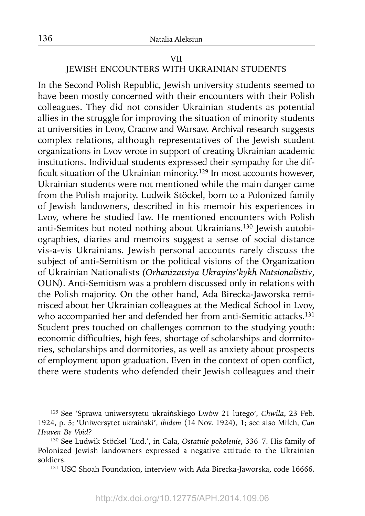#### VII

## JEWISH ENCOUNTERS WITH UKRAINIAN STUDENTS

In the Second Polish Republic, Jewish university students seemed to have been mostly concerned with their encounters with their Polish colleagues. They did not consider Ukrainian students as potential allies in the struggle for improving the situation of minority students at universities in Lvov, Cracow and Warsaw. Archival research suggests complex relations, although representatives of the Jewish student organizations in Lvov wrote in support of creating Ukrainian academic institutions. Individual students expressed their sympathy for the difficult situation of the Ukrainian minority.<sup>129</sup> In most accounts however, Ukrainian students were not mentioned while the main danger came from the Polish majority. Ludwik Stöckel, born to a Polonized family of Jewish landowners, described in his memoir his experiences in Lvov, where he studied law. He mentioned encounters with Polish anti-Semites but noted nothing about Ukrainians.130 Jewish autobiographies, diaries and memoirs suggest a sense of social distance vis-a-vis Ukrainians. Jewish personal accounts rarely discuss the subject of anti-Semitism or the political visions of the Organization of Ukrainian Nationalists *(Orhanizatsiya Ukrayins'kykh Natsionalistiv*, OUN). Anti-Semitism was a problem discussed only in relations with the Polish majority. On the other hand, Ada Birecka-Jaworska reminisced about her Ukrainian colleagues at the Medical School in Lvov, who accompanied her and defended her from anti-Semitic attacks.<sup>131</sup> Student pres touched on challenges common to the studying youth: economic difficulties, high fees, shortage of scholarships and dormitories, scholarships and dormitories, as well as anxiety about prospects of employment upon graduation. Even in the context of open conflict, there were students who defended their Jewish colleagues and their

<sup>129</sup> See 'Sprawa uniwersytetu ukraińskiego Lwów 21 lutego', *Chwila*, 23 Feb. 1924, p. 5; 'Uniwersytet ukraiński', *ibidem* (14 Nov. 1924), 1; see also Milch, *Can Heaven Be Void?*

<sup>130</sup> See Ludwik Stöckel 'Lud.', in Cała, *Ostatnie pokolenie*, 336–7. His family of Polonized Jewish landowners expressed a negative attitude to the Ukrainian soldiers.

<sup>&</sup>lt;sup>131</sup> USC Shoah Foundation, interview with Ada Birecka-Jaworska, code 16666.